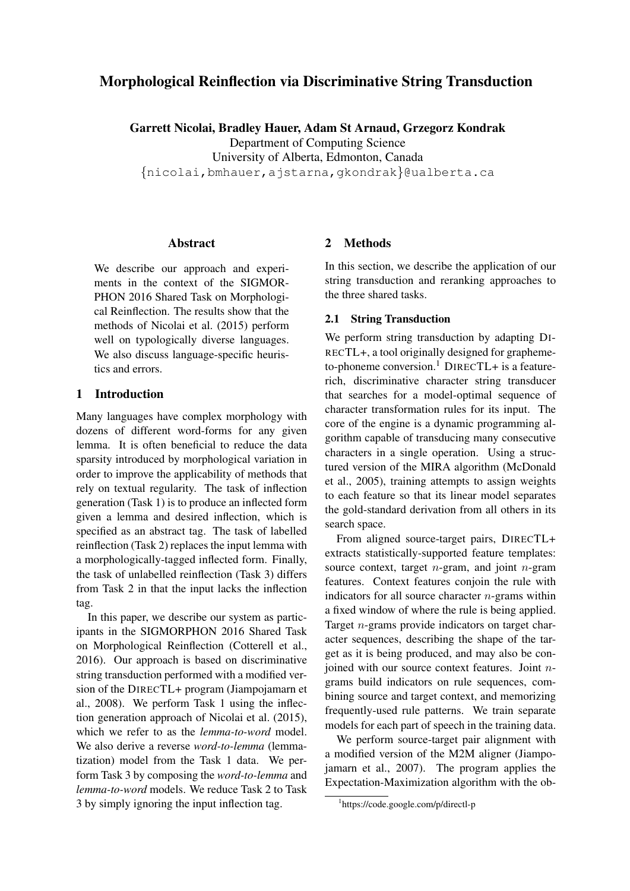# Morphological Reinflection via Discriminative String Transduction

Garrett Nicolai, Bradley Hauer, Adam St Arnaud, Grzegorz Kondrak

Department of Computing Science

University of Alberta, Edmonton, Canada

{nicolai,bmhauer,ajstarna,gkondrak}@ualberta.ca

#### Abstract

We describe our approach and experiments in the context of the SIGMOR-PHON 2016 Shared Task on Morphological Reinflection. The results show that the methods of Nicolai et al. (2015) perform well on typologically diverse languages. We also discuss language-specific heuristics and errors.

#### 1 Introduction

Many languages have complex morphology with dozens of different word-forms for any given lemma. It is often beneficial to reduce the data sparsity introduced by morphological variation in order to improve the applicability of methods that rely on textual regularity. The task of inflection generation (Task 1) is to produce an inflected form given a lemma and desired inflection, which is specified as an abstract tag. The task of labelled reinflection (Task 2) replaces the input lemma with a morphologically-tagged inflected form. Finally, the task of unlabelled reinflection (Task 3) differs from Task 2 in that the input lacks the inflection tag.

In this paper, we describe our system as participants in the SIGMORPHON 2016 Shared Task on Morphological Reinflection (Cotterell et al., 2016). Our approach is based on discriminative string transduction performed with a modified version of the DIRECTL+ program (Jiampojamarn et al., 2008). We perform Task 1 using the inflection generation approach of Nicolai et al. (2015), which we refer to as the *lemma-to-word* model. We also derive a reverse *word-to-lemma* (lemmatization) model from the Task 1 data. We perform Task 3 by composing the *word-to-lemma* and *lemma-to-word* models. We reduce Task 2 to Task 3 by simply ignoring the input inflection tag.

### 2 Methods

In this section, we describe the application of our string transduction and reranking approaches to the three shared tasks.

#### 2.1 String Transduction

We perform string transduction by adapting DI-RECTL+, a tool originally designed for graphemeto-phoneme conversion.<sup>1</sup> DIRECTL+ is a featurerich, discriminative character string transducer that searches for a model-optimal sequence of character transformation rules for its input. The core of the engine is a dynamic programming algorithm capable of transducing many consecutive characters in a single operation. Using a structured version of the MIRA algorithm (McDonald et al., 2005), training attempts to assign weights to each feature so that its linear model separates the gold-standard derivation from all others in its search space.

From aligned source-target pairs, DIRECTL+ extracts statistically-supported feature templates: source context, target  $n$ -gram, and joint  $n$ -gram features. Context features conjoin the rule with indicators for all source character  $n$ -grams within a fixed window of where the rule is being applied. Target n-grams provide indicators on target character sequences, describing the shape of the target as it is being produced, and may also be conjoined with our source context features. Joint  $n$ grams build indicators on rule sequences, combining source and target context, and memorizing frequently-used rule patterns. We train separate models for each part of speech in the training data.

We perform source-target pair alignment with a modified version of the M2M aligner (Jiampojamarn et al., 2007). The program applies the Expectation-Maximization algorithm with the ob-

<sup>1</sup> https://code.google.com/p/directl-p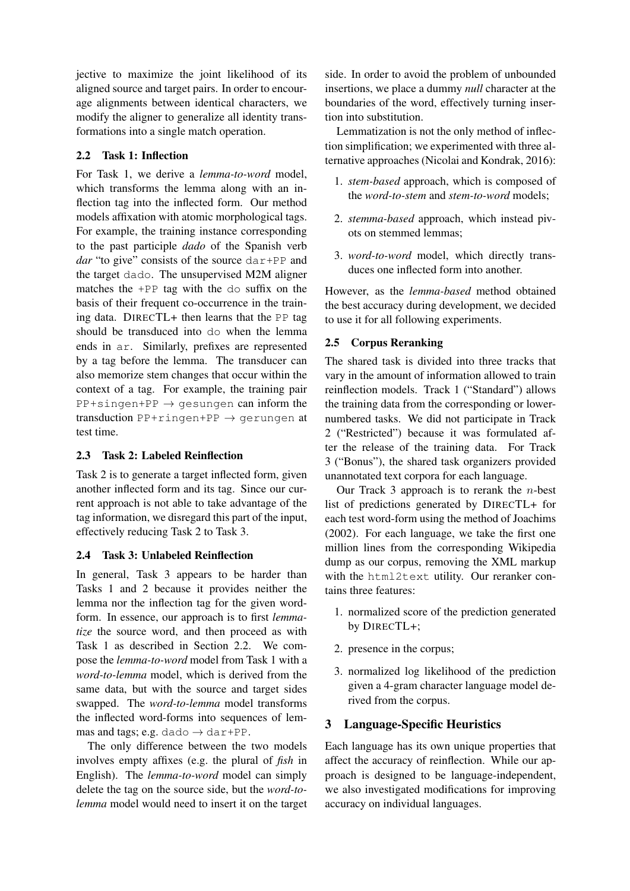jective to maximize the joint likelihood of its aligned source and target pairs. In order to encourage alignments between identical characters, we modify the aligner to generalize all identity transformations into a single match operation.

### 2.2 Task 1: Inflection

For Task 1, we derive a *lemma-to-word* model, which transforms the lemma along with an inflection tag into the inflected form. Our method models affixation with atomic morphological tags. For example, the training instance corresponding to the past participle *dado* of the Spanish verb *dar* "to give" consists of the source dar+PP and the target dado. The unsupervised M2M aligner matches the +PP tag with the do suffix on the basis of their frequent co-occurrence in the training data. DIRECTL+ then learns that the PP tag should be transduced into do when the lemma ends in ar. Similarly, prefixes are represented by a tag before the lemma. The transducer can also memorize stem changes that occur within the context of a tag. For example, the training pair  $PP+simple+PP \rightarrow qesungen can inform the$ transduction  $PP+ringen+PP \rightarrow gerungen$  at test time.

# 2.3 Task 2: Labeled Reinflection

Task 2 is to generate a target inflected form, given another inflected form and its tag. Since our current approach is not able to take advantage of the tag information, we disregard this part of the input, effectively reducing Task 2 to Task 3.

### 2.4 Task 3: Unlabeled Reinflection

In general, Task 3 appears to be harder than Tasks 1 and 2 because it provides neither the lemma nor the inflection tag for the given wordform. In essence, our approach is to first *lemmatize* the source word, and then proceed as with Task 1 as described in Section 2.2. We compose the *lemma-to-word* model from Task 1 with a *word-to-lemma* model, which is derived from the same data, but with the source and target sides swapped. The *word-to-lemma* model transforms the inflected word-forms into sequences of lemmas and tags; e.g. dado  $\rightarrow$  dar+PP.

The only difference between the two models involves empty affixes (e.g. the plural of *fish* in English). The *lemma-to-word* model can simply delete the tag on the source side, but the *word-tolemma* model would need to insert it on the target side. In order to avoid the problem of unbounded insertions, we place a dummy *null* character at the boundaries of the word, effectively turning insertion into substitution.

Lemmatization is not the only method of inflection simplification; we experimented with three alternative approaches (Nicolai and Kondrak, 2016):

- 1. *stem-based* approach, which is composed of the *word-to-stem* and *stem-to-word* models;
- 2. *stemma-based* approach, which instead pivots on stemmed lemmas;
- 3. *word-to-word* model, which directly transduces one inflected form into another.

However, as the *lemma-based* method obtained the best accuracy during development, we decided to use it for all following experiments.

# 2.5 Corpus Reranking

The shared task is divided into three tracks that vary in the amount of information allowed to train reinflection models. Track 1 ("Standard") allows the training data from the corresponding or lowernumbered tasks. We did not participate in Track 2 ("Restricted") because it was formulated after the release of the training data. For Track 3 ("Bonus"), the shared task organizers provided unannotated text corpora for each language.

Our Track 3 approach is to rerank the  $n$ -best list of predictions generated by DIRECTL+ for each test word-form using the method of Joachims (2002). For each language, we take the first one million lines from the corresponding Wikipedia dump as our corpus, removing the XML markup with the html2text utility. Our reranker contains three features:

- 1. normalized score of the prediction generated by DIRECTL+;
- 2. presence in the corpus;
- 3. normalized log likelihood of the prediction given a 4-gram character language model derived from the corpus.

# 3 Language-Specific Heuristics

Each language has its own unique properties that affect the accuracy of reinflection. While our approach is designed to be language-independent, we also investigated modifications for improving accuracy on individual languages.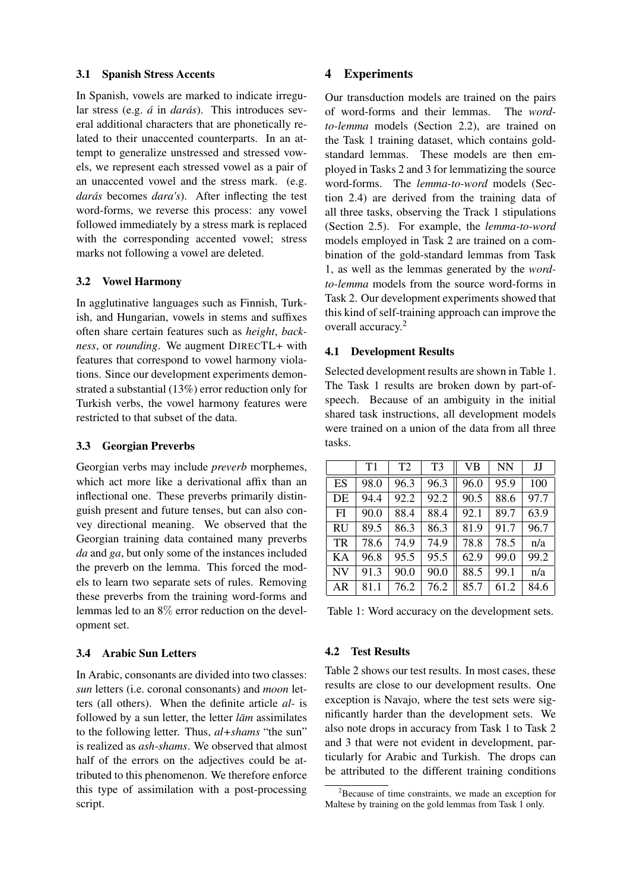#### 3.1 Spanish Stress Accents

In Spanish, vowels are marked to indicate irregular stress (e.g. *á* in *darás*). This introduces several additional characters that are phonetically related to their unaccented counterparts. In an attempt to generalize unstressed and stressed vowels, we represent each stressed vowel as a pair of an unaccented vowel and the stress mark. (e.g. darás becomes *dara's*). After inflecting the test word-forms, we reverse this process: any vowel followed immediately by a stress mark is replaced with the corresponding accented vowel; stress marks not following a vowel are deleted.

### 3.2 Vowel Harmony

In agglutinative languages such as Finnish, Turkish, and Hungarian, vowels in stems and suffixes often share certain features such as *height*, *backness*, or *rounding*. We augment DIRECTL+ with features that correspond to vowel harmony violations. Since our development experiments demonstrated a substantial (13%) error reduction only for Turkish verbs, the vowel harmony features were restricted to that subset of the data.

### 3.3 Georgian Preverbs

Georgian verbs may include *preverb* morphemes, which act more like a derivational affix than an inflectional one. These preverbs primarily distinguish present and future tenses, but can also convey directional meaning. We observed that the Georgian training data contained many preverbs *da* and *ga*, but only some of the instances included the preverb on the lemma. This forced the models to learn two separate sets of rules. Removing these preverbs from the training word-forms and lemmas led to an 8% error reduction on the development set.

### 3.4 Arabic Sun Letters

In Arabic, consonants are divided into two classes: *sun* letters (i.e. coronal consonants) and *moon* letters (all others). When the definite article *al-* is followed by a sun letter, the letter *lam* assimilates to the following letter. Thus, *al+shams* "the sun" is realized as *ash-shams*. We observed that almost half of the errors on the adjectives could be attributed to this phenomenon. We therefore enforce this type of assimilation with a post-processing script.

### 4 Experiments

Our transduction models are trained on the pairs of word-forms and their lemmas. The *wordto-lemma* models (Section 2.2), are trained on the Task 1 training dataset, which contains goldstandard lemmas. These models are then employed in Tasks 2 and 3 for lemmatizing the source word-forms. The *lemma-to-word* models (Section 2.4) are derived from the training data of all three tasks, observing the Track 1 stipulations (Section 2.5). For example, the *lemma-to-word* models employed in Task 2 are trained on a combination of the gold-standard lemmas from Task 1, as well as the lemmas generated by the *wordto-lemma* models from the source word-forms in Task 2. Our development experiments showed that this kind of self-training approach can improve the overall accuracy.<sup>2</sup>

### 4.1 Development Results

Selected development results are shown in Table 1. The Task 1 results are broken down by part-ofspeech. Because of an ambiguity in the initial shared task instructions, all development models were trained on a union of the data from all three tasks.

|           | T1   | T2   | T <sub>3</sub> | <b>VB</b> | <b>NN</b> | IJ   |
|-----------|------|------|----------------|-----------|-----------|------|
| ES        | 98.0 | 96.3 | 96.3           | 96.0      | 95.9      | 100  |
| DE        | 94.4 | 92.2 | 92.2           | 90.5      | 88.6      | 97.7 |
| FI        | 90.0 | 88.4 | 88.4           | 92.1      | 89.7      | 63.9 |
| <b>RU</b> | 89.5 | 86.3 | 86.3           | 81.9      | 91.7      | 96.7 |
| <b>TR</b> | 78.6 | 74.9 | 74.9           | 78.8      | 78.5      | n/a  |
| KA        | 96.8 | 95.5 | 95.5           | 62.9      | 99.0      | 99.2 |
| <b>NV</b> | 91.3 | 90.0 | 90.0           | 88.5      | 99.1      | n/a  |
| AR        | 81.1 | 76.2 | 76.2           | 85.7      | 61.2      | 84.6 |

Table 1: Word accuracy on the development sets.

# 4.2 Test Results

Table 2 shows our test results. In most cases, these results are close to our development results. One exception is Navajo, where the test sets were significantly harder than the development sets. We also note drops in accuracy from Task 1 to Task 2 and 3 that were not evident in development, particularly for Arabic and Turkish. The drops can be attributed to the different training conditions

 $2B$  Because of time constraints, we made an exception for Maltese by training on the gold lemmas from Task 1 only.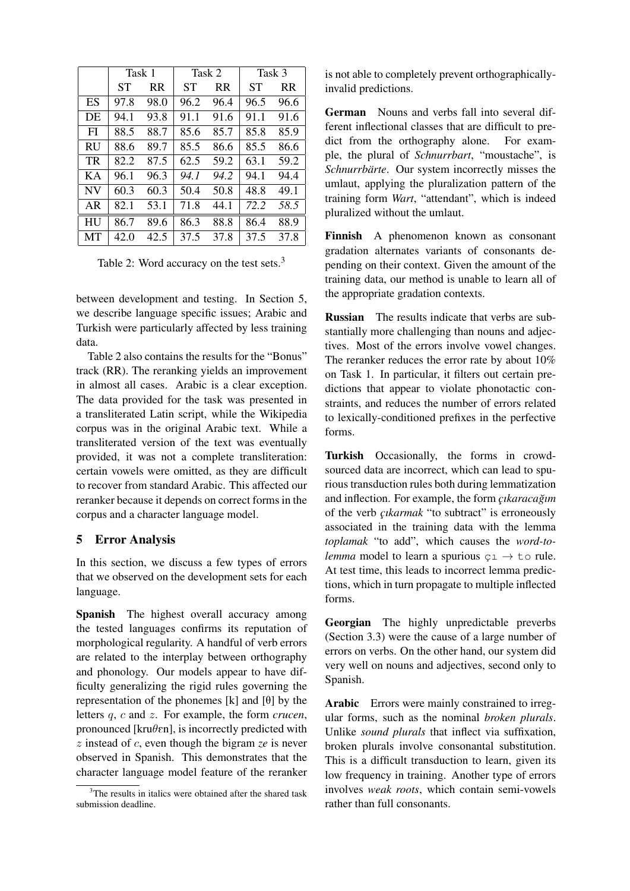|           | Task 1 |      | Task 2 |           | Task 3 |           |
|-----------|--------|------|--------|-----------|--------|-----------|
|           | SТ     | RR.  | SТ     | <b>RR</b> | ST     | <b>RR</b> |
| ES        | 97.8   | 98.0 | 96.2   | 96.4      | 96.5   | 96.6      |
| DE        | 94.1   | 93.8 | 91.1   | 91.6      | 91.1   | 91.6      |
| FI        | 88.5   | 88.7 | 85.6   | 85.7      | 85.8   | 85.9      |
| <b>RU</b> | 88.6   | 89.7 | 85.5   | 86.6      | 85.5   | 86.6      |
| TR        | 82.2   | 87.5 | 62.5   | 59.2      | 63.1   | 59.2      |
| KА        | 96.1   | 96.3 | 94.1   | 94.2      | 94.1   | 94.4      |
| <b>NV</b> | 60.3   | 60.3 | 50.4   | 50.8      | 48.8   | 49.1      |
| AR        | 82.1   | 53.1 | 71.8   | 44.1      | 72.2   | 58.5      |
| <b>HU</b> | 86.7   | 89.6 | 86.3   | 88.8      | 86.4   | 88.9      |
| MТ        | 42.0   | 42.5 | 37.5   | 37.8      | 37.5   | 37.8      |

Table 2: Word accuracy on the test sets.<sup>3</sup>

between development and testing. In Section 5, we describe language specific issues; Arabic and Turkish were particularly affected by less training data.

Table 2 also contains the results for the "Bonus" track (RR). The reranking yields an improvement in almost all cases. Arabic is a clear exception. The data provided for the task was presented in a transliterated Latin script, while the Wikipedia corpus was in the original Arabic text. While a transliterated version of the text was eventually provided, it was not a complete transliteration: certain vowels were omitted, as they are difficult to recover from standard Arabic. This affected our reranker because it depends on correct forms in the corpus and a character language model.

### 5 Error Analysis

In this section, we discuss a few types of errors that we observed on the development sets for each language.

Spanish The highest overall accuracy among the tested languages confirms its reputation of morphological regularity. A handful of verb errors are related to the interplay between orthography and phonology. Our models appear to have difficulty generalizing the rigid rules governing the representation of the phonemes  $[k]$  and  $[0]$  by the letters q, c and z. For example, the form *crucen*, pronounced [kru $\theta$ en], is incorrectly predicted with z instead of c, even though the bigram *ze* is never observed in Spanish. This demonstrates that the character language model feature of the reranker is not able to completely prevent orthographicallyinvalid predictions.

German Nouns and verbs fall into several different inflectional classes that are difficult to predict from the orthography alone. For example, the plural of *Schnurrbart*, "moustache", is *Schnurrbärte*. Our system incorrectly misses the umlaut, applying the pluralization pattern of the training form *Wart*, "attendant", which is indeed pluralized without the umlaut.

Finnish A phenomenon known as consonant gradation alternates variants of consonants depending on their context. Given the amount of the training data, our method is unable to learn all of the appropriate gradation contexts.

Russian The results indicate that verbs are substantially more challenging than nouns and adjectives. Most of the errors involve vowel changes. The reranker reduces the error rate by about 10% on Task 1. In particular, it filters out certain predictions that appear to violate phonotactic constraints, and reduces the number of errors related to lexically-conditioned prefixes in the perfective forms.

Turkish Occasionally, the forms in crowdsourced data are incorrect, which can lead to spurious transduction rules both during lemmatization and inflection. For example, the form *cikaracağım* of the verb *çıkarmak* "to subtract" is erroneously associated in the training data with the lemma *toplamak* "to add", which causes the *word-tolemma* model to learn a spurious  $c_1 \rightarrow c_0$  rule. At test time, this leads to incorrect lemma predictions, which in turn propagate to multiple inflected forms.

Georgian The highly unpredictable preverbs (Section 3.3) were the cause of a large number of errors on verbs. On the other hand, our system did very well on nouns and adjectives, second only to Spanish.

Arabic Errors were mainly constrained to irregular forms, such as the nominal *broken plurals*. Unlike *sound plurals* that inflect via suffixation, broken plurals involve consonantal substitution. This is a difficult transduction to learn, given its low frequency in training. Another type of errors involves *weak roots*, which contain semi-vowels rather than full consonants.

 $3$ The results in italics were obtained after the shared task submission deadline.